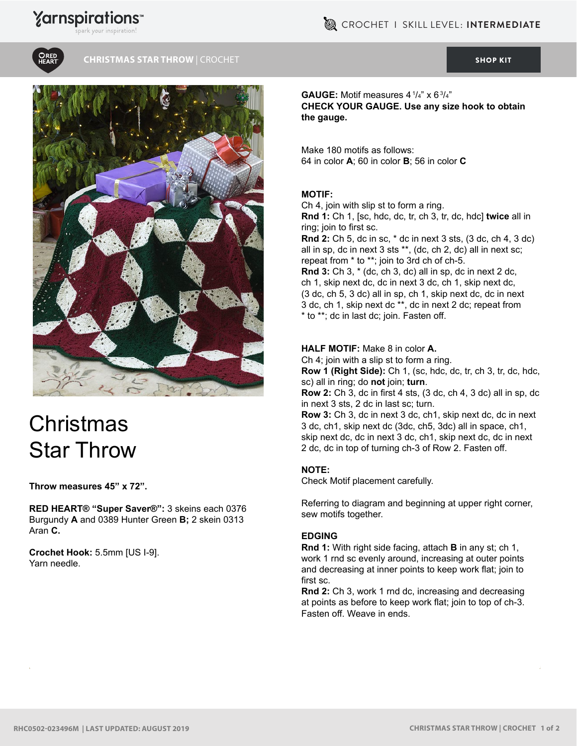## **Yarnspirations**



#### **CHRISTMAS STAR THROW** | CROCHET [SHOP KIT](https://www.yarnspirations.com/red-heart-christmas-star-throw/RHC0502-023496M.html#utm_source=pdf-yarnspirations&utm_medium=referral&utm_campaign=pdf-RHC0502-023496M)



# **Christmas** Star Throw

#### **Throw measures 45" x 72".**

**RED HEART® "Super Saver®":** 3 skeins each 0376 Burgundy **A** and 0389 Hunter Green **B;** 2 skein 0313 Aran **C.**

**Crochet Hook:** 5.5mm [US I-9]. Yarn needle.

**GAUGE:** Motif measures  $4^{1/4}$ " x  $6^{3/4}$ " **CHECK YOUR GAUGE. Use any size hook to obtain the gauge.**

Make 180 motifs as follows: 64 in color **A**; 60 in color **B**; 56 in color **C**

#### **MOTIF:**

Ch 4, join with slip st to form a ring.

**Rnd 1:** Ch 1, [sc, hdc, dc, tr, ch 3, tr, dc, hdc] **twice** all in ring; join to first sc.

**Rnd 2:** Ch 5, dc in sc, \* dc in next 3 sts, (3 dc, ch 4, 3 dc) all in sp, dc in next 3 sts \*\*, (dc, ch 2, dc) all in next sc; repeat from \* to \*\*; join to 3rd ch of ch-5.

**Rnd 3:** Ch 3, \* (dc, ch 3, dc) all in sp, dc in next 2 dc, ch 1, skip next dc, dc in next 3 dc, ch 1, skip next dc, (3 dc, ch 5, 3 dc) all in sp, ch 1, skip next dc, dc in next 3 dc, ch 1, skip next dc \*\*, dc in next 2 dc; repeat from \* to \*\*; dc in last dc; join. Fasten off.

#### **HALF MOTIF:** Make 8 in color **A.**

Ch 4; join with a slip st to form a ring.

**Row 1 (Right Side):** Ch 1, (sc, hdc, dc, tr, ch 3, tr, dc, hdc, sc) all in ring; do **not** join; **turn**.

**Row 2:** Ch 3, dc in first 4 sts, (3 dc, ch 4, 3 dc) all in sp, dc in next 3 sts, 2 dc in last sc; turn.

**Row 3:** Ch 3, dc in next 3 dc, ch1, skip next dc, dc in next 3 dc, ch1, skip next dc (3dc, ch5, 3dc) all in space, ch1, skip next dc, dc in next 3 dc, ch1, skip next dc, dc in next 2 dc, dc in top of turning ch-3 of Row 2. Fasten off.

#### **NOTE:**

Check Motif placement carefully.

Referring to diagram and beginning at upper right corner, sew motifs together.

#### **EDGING**

**Rnd 1:** With right side facing, attach **B** in any st; ch 1, work 1 rnd sc evenly around, increasing at outer points and decreasing at inner points to keep work flat; join to first sc.

**Rnd 2:** Ch 3, work 1 rnd dc, increasing and decreasing at points as before to keep work flat; join to top of ch-3. Fasten off. Weave in ends.